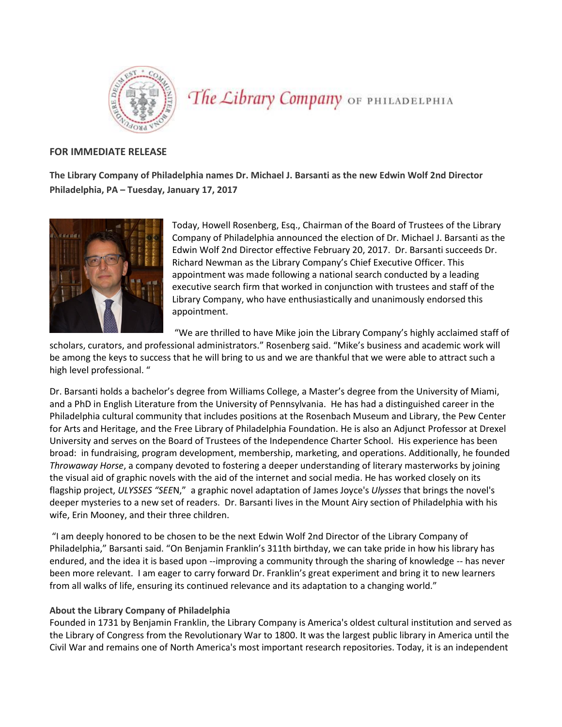

The Library Company OF PHILADELPHIA

## **FOR IMMEDIATE RELEASE**

**The Library Company of Philadelphia names Dr. Michael J. Barsanti as the new Edwin Wolf 2nd Director Philadelphia, PA – Tuesday, January 17, 2017**



Today, Howell Rosenberg, Esq., Chairman of the Board of Trustees of the Library Company of Philadelphia announced the election of Dr. Michael J. Barsanti as the Edwin Wolf 2nd Director effective February 20, 2017. Dr. Barsanti succeeds Dr. Richard Newman as the Library Company's Chief Executive Officer. This appointment was made following a national search conducted by a leading executive search firm that worked in conjunction with trustees and staff of the Library Company, who have enthusiastically and unanimously endorsed this appointment.

"We are thrilled to have Mike join the Library Company's highly acclaimed staff of

scholars, curators, and professional administrators." Rosenberg said. "Mike's business and academic work will be among the keys to success that he will bring to us and we are thankful that we were able to attract such a high level professional. "

Dr. Barsanti holds a bachelor's degree from Williams College, a Master's degree from the University of Miami, and a PhD in English Literature from the University of Pennsylvania. He has had a distinguished career in the Philadelphia cultural community that includes positions at the Rosenbach Museum and Library, the Pew Center for Arts and Heritage, and the Free Library of Philadelphia Foundation. He is also an Adjunct Professor at Drexel University and serves on the Board of Trustees of the Independence Charter School. His experience has been broad: in fundraising, program development, membership, marketing, and operations. Additionally, he founded *Throwaway Horse*, a company devoted to fostering a deeper understanding of literary masterworks by joining the visual aid of graphic novels with the aid of the internet and social media. He has worked closely on its flagship project, *[ULYSSES "SEE](http://ulyssesseen.com/)*N," a graphic novel adaptation of James Joyce's *Ulysses* that brings the novel's deeper mysteries to a new set of readers. Dr. Barsanti lives in the Mount Airy section of Philadelphia with his wife, Erin Mooney, and their three children.

"I am deeply honored to be chosen to be the next Edwin Wolf 2nd Director of the Library Company of Philadelphia," Barsanti said. "On Benjamin Franklin's 311th birthday, we can take pride in how his library has endured, and the idea it is based upon --improving a community through the sharing of knowledge -- has never been more relevant. I am eager to carry forward Dr. Franklin's great experiment and bring it to new learners from all walks of life, ensuring its continued relevance and its adaptation to a changing world."

## **About the Library Company of Philadelphia**

Founded in 1731 by Benjamin Franklin, the Library Company is America's oldest cultural institution and served as the Library of Congress from the Revolutionary War to 1800. It was the largest public library in America until the Civil War and remains one of North America's most important research repositories. Today, it is an independent